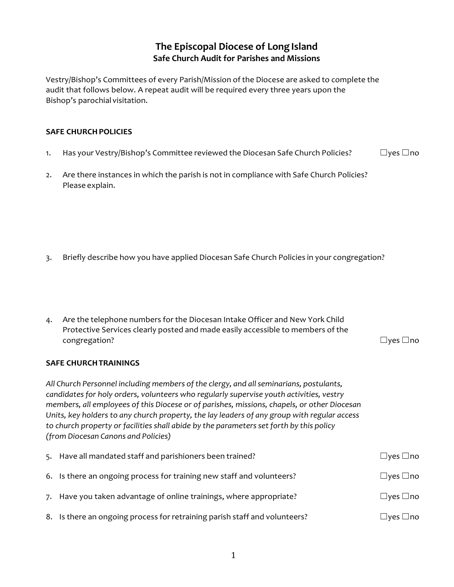## **The Episcopal Diocese of Long Island Safe Church Audit for Parishes and Missions**

Vestry/Bishop's Committees of every Parish/Mission of the Diocese are asked to complete the audit that follows below. A repeat audit will be required every three years upon the Bishop's parochial visitation.

## **SAFE CHURCHPOLICIES**

- 1. Has your Vestry/Bishop's Committee reviewed the Diocesan Safe Church Policies? □ □yes □no
- 2. Are there instances in which the parish is not in compliance with Safe Church Policies? Please explain.

- 3. Briefly describe how you have applied Diocesan Safe Church Policies in your congregation?
- 4. Are the telephone numbers for the Diocesan Intake Officer and New York Child Protective Services clearly posted and made easily accessible to members of the congregation? ☐yes ☐no

## **SAFE CHURCHTRAININGS**

*All Church Personnel including members ofthe clergy, and allseminarians, postulants, candidatesfor holy orders, volunteers who regularly supervise youth activities, vestry members, all employees of this Diocese or of parishes, missions, chapels, or other Diocesan Units, key holders to any church property, the lay leaders of any group with regular access to church property or facilities shall abide by the parameterssetforth by this policy (from Diocesan Canons and Policies)*

| 5. Have all mandated staff and parishioners been trained?                  | $\Box$ yes $\Box$ no       |
|----------------------------------------------------------------------------|----------------------------|
| 6. Is there an ongoing process for training new staff and volunteers?      | $\Box$ yes $\Box$ no       |
| 7. Have you taken advantage of online trainings, where appropriate?        | $\Box$ yes $\Box$ no       |
| 8. Is there an ongoing process for retraining parish staff and volunteers? | $\square$ yes $\square$ no |